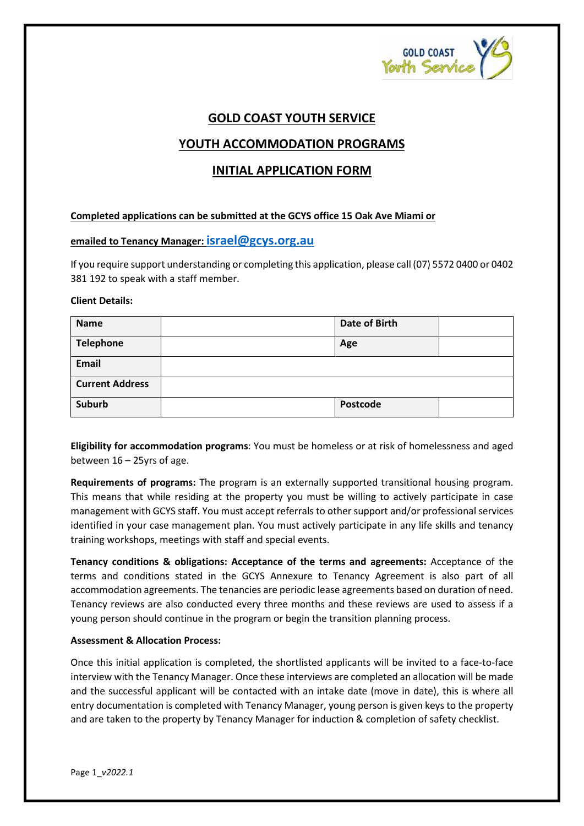

# **GOLD COAST YOUTH SERVICE**

# **YOUTH ACCOMMODATION PROGRAMS**

# **INITIAL APPLICATION FORM**

#### **Completed applications can be submitted at the GCYS office 15 Oak Ave Miami or**

### **emailed to Tenancy Manager[: israel@gcys.org.au](mailto:israel@gcys.org.au)**

If you require support understanding or completing this application, please call (07) 5572 0400 or 0402 381 192 to speak with a staff member.

#### **Client Details:**

| <b>Name</b>            | Date of Birth |  |
|------------------------|---------------|--|
| <b>Telephone</b>       | Age           |  |
| Email                  |               |  |
| <b>Current Address</b> |               |  |
| <b>Suburb</b>          | Postcode      |  |

**Eligibility for accommodation programs**: You must be homeless or at risk of homelessness and aged between 16 – 25yrs of age.

**Requirements of programs:** The program is an externally supported transitional housing program. This means that while residing at the property you must be willing to actively participate in case management with GCYS staff. You must accept referrals to other support and/or professional services identified in your case management plan. You must actively participate in any life skills and tenancy training workshops, meetings with staff and special events.

**Tenancy conditions & obligations: Acceptance of the terms and agreements:** Acceptance of the terms and conditions stated in the GCYS Annexure to Tenancy Agreement is also part of all accommodation agreements. The tenancies are periodic lease agreements based on duration of need. Tenancy reviews are also conducted every three months and these reviews are used to assess if a young person should continue in the program or begin the transition planning process.

#### **Assessment & Allocation Process:**

Once this initial application is completed, the shortlisted applicants will be invited to a face-to-face interview with the Tenancy Manager. Once these interviews are completed an allocation will be made and the successful applicant will be contacted with an intake date (move in date), this is where all entry documentation is completed with Tenancy Manager, young person is given keys to the property and are taken to the property by Tenancy Manager for induction & completion of safety checklist.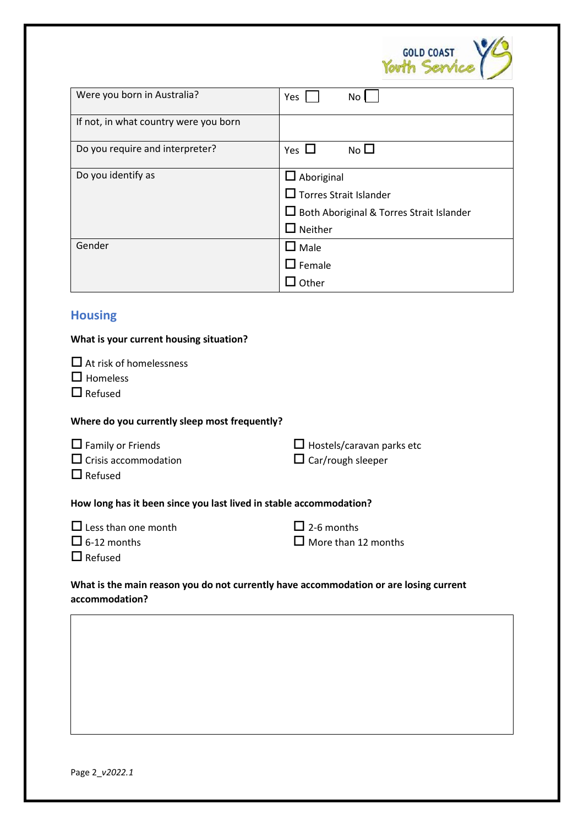

| Were you born in Australia?           | Yes<br>No                                                                                                                     |
|---------------------------------------|-------------------------------------------------------------------------------------------------------------------------------|
| If not, in what country were you born |                                                                                                                               |
| Do you require and interpreter?       | No $\square$<br>Yes $\Box$                                                                                                    |
| Do you identify as                    | $\square$ Aboriginal<br>$\square$ Torres Strait Islander<br>$\Box$ Both Aboriginal & Torres Strait Islander<br>$\Box$ Neither |
| Gender                                | $\square$ Male<br>$\Box$ Female<br>Other                                                                                      |

# **Housing**

| What is your current housing situation?                                                                 |                                                              |
|---------------------------------------------------------------------------------------------------------|--------------------------------------------------------------|
| $\Box$ At risk of homelessness<br>$\Box$ Homeless<br>$\Box$ Refused                                     |                                                              |
| Where do you currently sleep most frequently?                                                           |                                                              |
| $\Box$ Family or Friends<br>$\Box$ Crisis accommodation<br>$\Box$ Refused                               | $\Box$ Hostels/caravan parks etc<br>$\Box$ Car/rough sleeper |
| How long has it been since you last lived in stable accommodation?                                      |                                                              |
| $\Box$ Less than one month<br>$\Box$ 6-12 months<br>$\Box$ Refused                                      | $\Box$ 2-6 months<br>$\Box$ More than 12 months              |
| What is the main reason you do not currently have accommodation or are losing current<br>accommodation? |                                                              |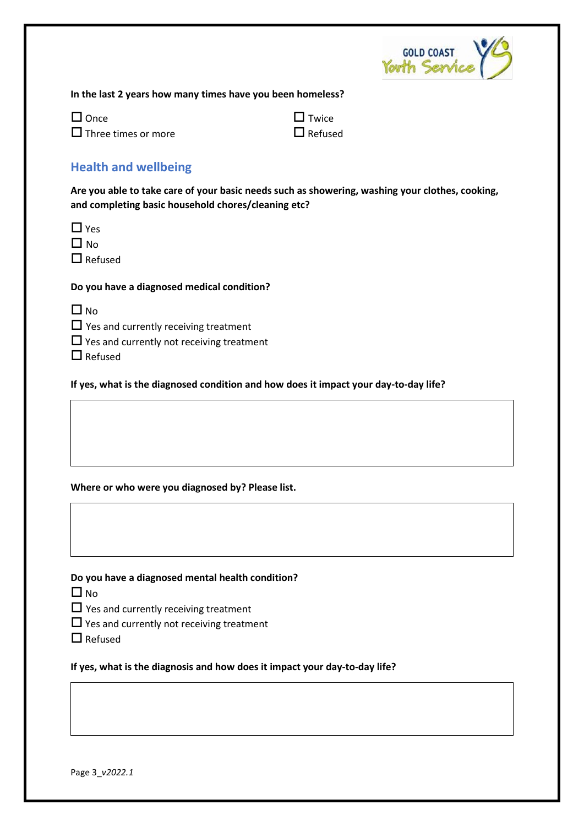

**In the last 2 years how many times have you been homeless?**

 $\square$  Once  $\square$  Twice  $\square$  Three times or more  $\square$  Refused

# **Health and wellbeing**

**Are you able to take care of your basic needs such as showering, washing your clothes, cooking, and completing basic household chores/cleaning etc?** 

| ۰.<br>× |
|---------|
|---------|

 $\Box$  No.

■Refused

**Do you have a diagnosed medical condition?**

| ×<br>۰, |
|---------|
|---------|

 $\Box$  Yes and currently receiving treatment

 $\Box$  Yes and currently not receiving treatment

 $\Box$  Refused

**If yes, what is the diagnosed condition and how does it impact your day-to-day life?** 

### **Where or who were you diagnosed by? Please list.**

**Do you have a diagnosed mental health condition?**

 $\Box$  No

 $\Box$  Yes and currently receiving treatment

 $\Box$  Yes and currently not receiving treatment

 $\Box$  Refused

**If yes, what is the diagnosis and how does it impact your day-to-day life?**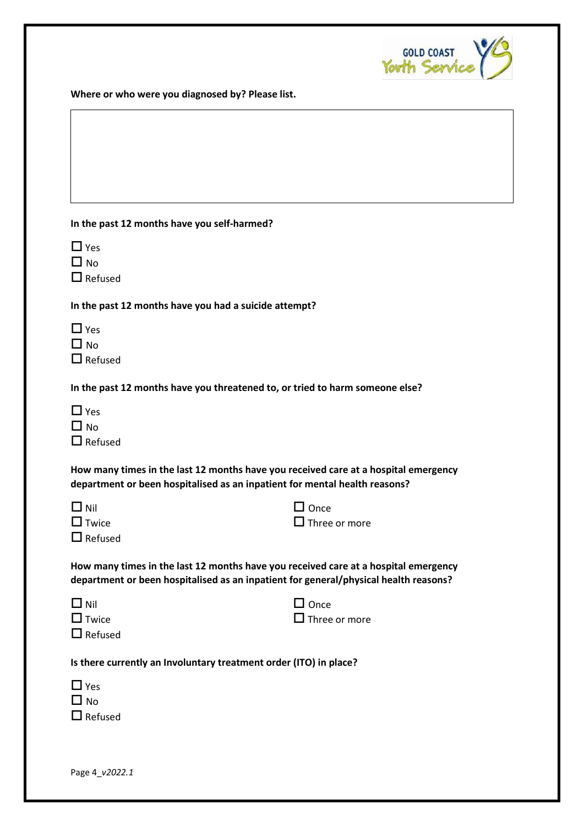

**Where or who were you diagnosed by? Please list.**

#### **In the past 12 months have you self-harmed?**

| ۰. |
|----|
|----|

 $\Box$  No

 $\Box$  Refused

**In the past 12 months have you had a suicide attempt?**

| $\Box$ Yes     |
|----------------|
| $\square$ No   |
| $\Box$ Refused |

**In the past 12 months have you threatened to, or tried to harm someone else?**

|                          | $\square$ Yes |
|--------------------------|---------------|
|                          | $\Box$ No     |
| $\overline{\phantom{0}}$ | ь.            |

 $\Box$  Refused

**How many times in the last 12 months have you received care at a hospital emergency department or been hospitalised as an inpatient for mental health reasons?**

| $\Box$ Nil   | $\Box$ Once          |
|--------------|----------------------|
| $\Box$ Twice | $\Box$ Three or more |

| $\Box$ Refused |
|----------------|

**How many times in the last 12 months have you received care at a hospital emergency department or been hospitalised as an inpatient for general/physical health reasons?**

| $\square$ Nil |                |
|---------------|----------------|
|               | $\Box$ Twice   |
|               | $\Box$ Refused |

 $\square$  Once  $\square$  Three or more

 $\Box$  Once

**Is there currently an Involuntary treatment order (ITO) in place?**

| $\Box$ Yes     |
|----------------|
| $\square$ No   |
| $\Box$ Refused |

Page 4\_*v2022.1*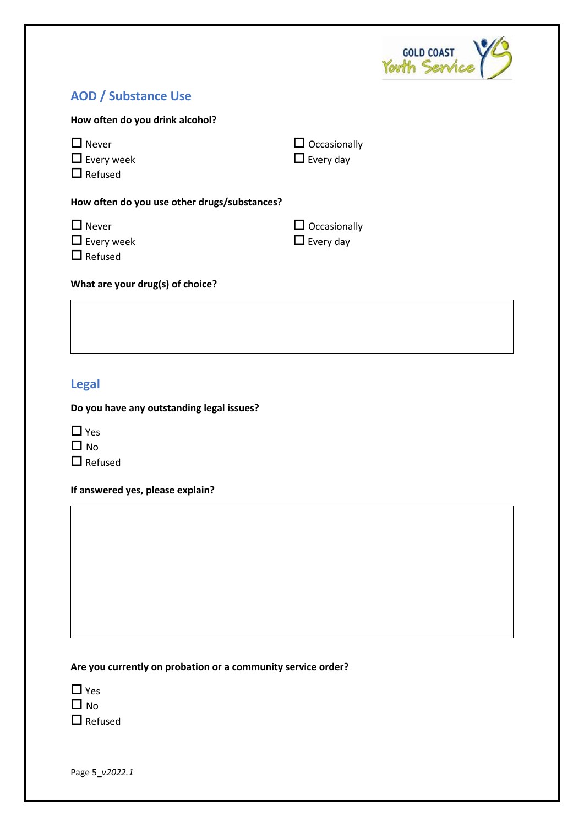

# **AOD / Substance Use**

| How often do you drink alcohol?                     |                                         |  |
|-----------------------------------------------------|-----------------------------------------|--|
| $\Box$ Never<br>$\Box$ Every week<br>$\Box$ Refused | $\Box$ Occasionally<br>$\Box$ Every day |  |
| How often do you use other drugs/substances?        |                                         |  |
| $\Box$ Never<br>$\Box$ Every week                   | $\Box$ Occasionally<br>$\Box$ Every day |  |

**What are your drug(s) of choice?**

# **Legal**

**Do you have any outstanding legal issues?** 

| $\mathcal{L}$<br>1, | Yes       |
|---------------------|-----------|
|                     | $\Box$ No |
|                     |           |

 $\Box$  Refused

**If answered yes, please explain?** 

#### **Are you currently on probation or a community service order?**

| I I | Yes       |
|-----|-----------|
|     | $\Box$ No |
| n l |           |

 $\Box$  Refused

Page 5\_*v2022.1*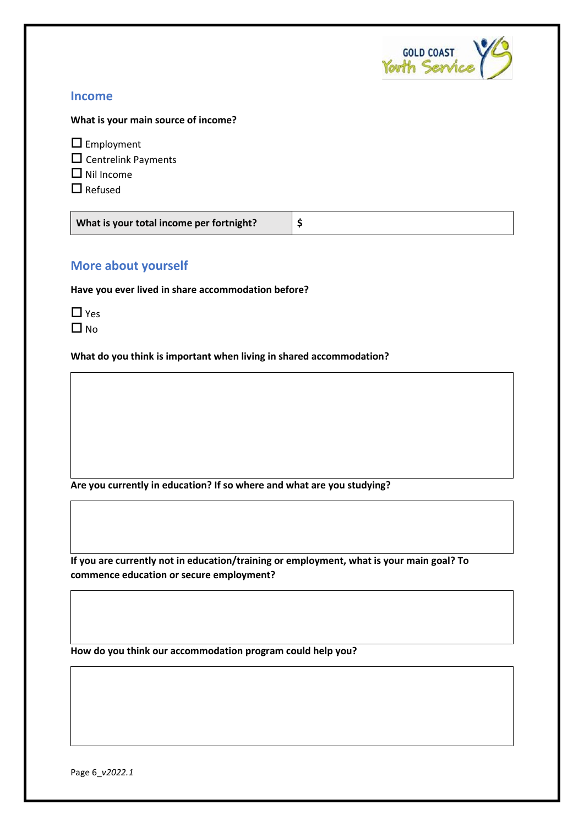

### **Income**

**What is your main source of income?**

**E** Employment

 $\square$  Centrelink Payments

 $\Box$  Nil Income

 $\Box$  Refused

| What is your total income per fortnight? |  |
|------------------------------------------|--|
|------------------------------------------|--|

# **More about yourself**

**Have you ever lived in share accommodation before?**

| H      | ρς |
|--------|----|
| L<br>L | N٥ |

**What do you think is important when living in shared accommodation?**

**Are you currently in education? If so where and what are you studying?** 

**If you are currently not in education/training or employment, what is your main goal? To commence education or secure employment?**

**How do you think our accommodation program could help you?**